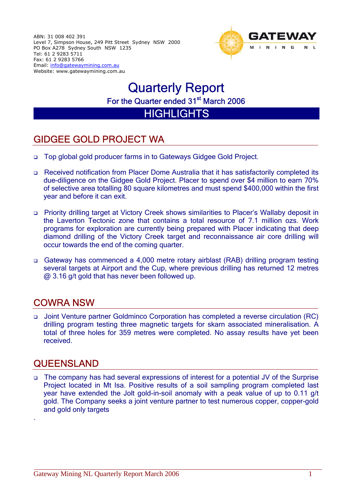ABN: 31 008 402 391 Level 7, Simpson House, 249 Pitt Street Sydney NSW 2000 PO Box A278 Sydney South NSW 1235 Tel: 61 2 9283 5711 Fax: 61 2 9283 5766 Email: [info@gatewaymining.com.au](mailto:info@gatewaymining.com.au) Website: www.gatewaymining.com.au



# Quarterly Report For the Quarter ended 31<sup>st</sup> March 2006

**HIGHLIGHTS** 

## GIDGEE GOLD PROJECT WA

- □ Top global gold producer farms in to Gateways Gidgee Gold Project.
- Received notification from Placer Dome Australia that it has satisfactorily completed its due-diligence on the Gidgee Gold Project. Placer to spend over \$4 million to earn 70% of selective area totalling 80 square kilometres and must spend \$400,000 within the first year and before it can exit.
- Priority drilling target at Victory Creek shows similarities to Placer's Wallaby deposit in the Laverton Tectonic zone that contains a total resource of 7.1 million ozs. Work programs for exploration are currently being prepared with Placer indicating that deep diamond drilling of the Victory Creek target and reconnaissance air core drilling will occur towards the end of the coming quarter.
- Gateway has commenced a 4,000 metre rotary airblast (RAB) drilling program testing several targets at Airport and the Cup, where previous drilling has returned 12 metres @ 3.16 g/t gold that has never been followed up.

## COWRA NSW

 Joint Venture partner Goldminco Corporation has completed a reverse circulation (RC) drilling program testing three magnetic targets for skarn associated mineralisation. A total of three holes for 359 metres were completed. No assay results have yet been received.

## **QUEENSLAND**

.

 The company has had several expressions of interest for a potential JV of the Surprise Project located in Mt Isa. Positive results of a soil sampling program completed last year have extended the Jolt gold-in-soil anomaly with a peak value of up to 0.11 g/t gold. The Company seeks a joint venture partner to test numerous copper, copper-gold and gold only targets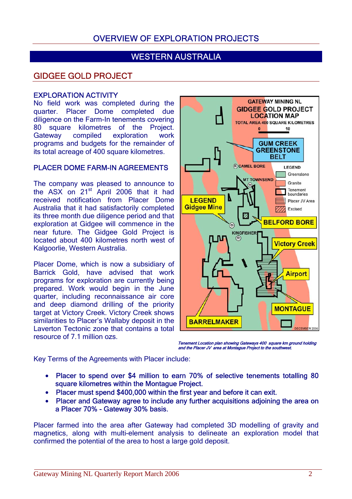## OVERVIEW OF EXPLORATION PROJECTS

## WESTERN AUSTRALIA

## GIDGEE GOLD PROJECT

#### EXPLORATION ACTIVITY

No field work was completed during the quarter. Placer Dome completed due diligence on the Farm-In tenements covering 80 square kilometres of the Project. Gateway compiled exploration work programs and budgets for the remainder of its total acreage of 400 square kilometres.

#### PLACER DOME FARM-IN AGREEMENTS

The company was pleased to announce to the ASX on 21<sup>st</sup> April 2006 that it had received notification from Placer Dome Australia that it had satisfactorily completed its three month due diligence period and that exploration at Gidgee will commence in the near future. The Gidgee Gold Project is located about 400 kilometres north west of Kalgoorlie, Western Australia.

Placer Dome, which is now a subsidiary of Barrick Gold, have advised that work programs for exploration are currently being prepared. Work would begin in the June quarter, including reconnaissance air core and deep diamond drilling of the priority target at Victory Creek. Victory Creek shows similarities to Placer's Wallaby deposit in the Laverton Tectonic zone that contains a total resource of 7.1 million ozs.



Tenement Location plan showing Gateways 400 square km ground holding and the Placer JV area at Montague Project to the southwest.

Key Terms of the Agreements with Placer include:

- Placer to spend over \$4 million to earn 70% of selective tenements totalling 80 square kilometres within the Montague Project.
- Placer must spend \$400,000 within the first year and before it can exit.
- Placer and Gateway agree to include any further acquisitions adjoining the area on a Placer 70% - Gateway 30% basis.

Placer farmed into the area after Gateway had completed 3D modelling of gravity and magnetics, along with multi-element analysis to delineate an exploration model that confirmed the potential of the area to host a large gold deposit.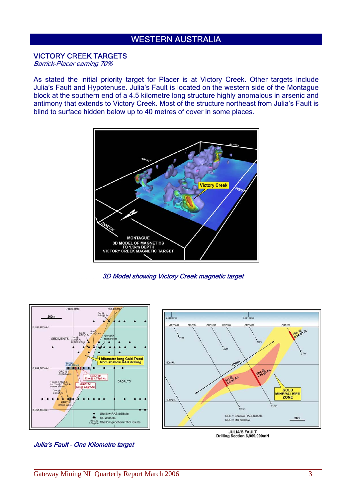## WESTERN AUSTRALIA

#### VICTORY CREEK TARGETS

Barrick-Placer earning 70%

As stated the initial priority target for Placer is at Victory Creek. Other targets include Julia's Fault and Hypotenuse. Julia's Fault is located on the western side of the Montague block at the southern end of a 4.5 kilometre long structure highly anomalous in arsenic and antimony that extends to Victory Creek. Most of the structure northeast from Julia's Fault is blind to surface hidden below up to 40 metres of cover in some places.



3D Model showing Victory Creek magnetic target



Julia's Fault – One Kilometre target

JULIA'S FAULT<br>Drilling Section 6,969,000mN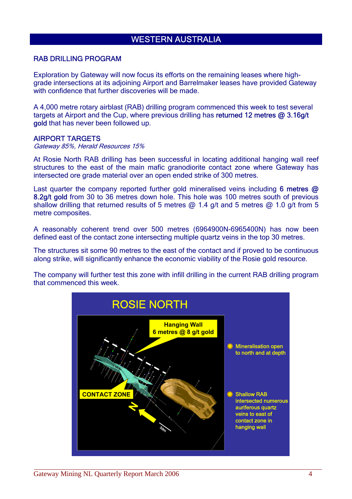## WESTERN AUSTRALIA

#### RAB DRILLING PROGRAM

Exploration by Gateway will now focus its efforts on the remaining leases where highgrade intersections at its adjoining Airport and Barrelmaker leases have provided Gateway with confidence that further discoveries will be made.

A 4,000 metre rotary airblast (RAB) drilling program commenced this week to test several targets at Airport and the Cup, where previous drilling has returned 12 metres @ 3.16g/t gold that has never been followed up.

#### AIRPORT TARGETS

Gateway 85%, Herald Resources 15%

At Rosie North RAB drilling has been successful in locating additional hanging wall reef structures to the east of the main mafic granodiorite contact zone where Gateway has intersected ore grade material over an open ended strike of 300 metres.

Last quarter the company reported further gold mineralised veins including 6 metres @ 8.2g/t gold from 30 to 36 metres down hole. This hole was 100 metres south of previous shallow drilling that returned results of 5 metres  $\omega$  1.4 g/t and 5 metres  $\omega$  1.0 g/t from 5 metre composites.

A reasonably coherent trend over 500 metres (6964900N-6965400N) has now been defined east of the contact zone intersecting multiple quartz veins in the top 30 metres.

The structures sit some 90 metres to the east of the contact and if proved to be continuous along strike, will significantly enhance the economic viability of the Rosie gold resource.

The company will further test this zone with infill drilling in the current RAB drilling program that commenced this week.

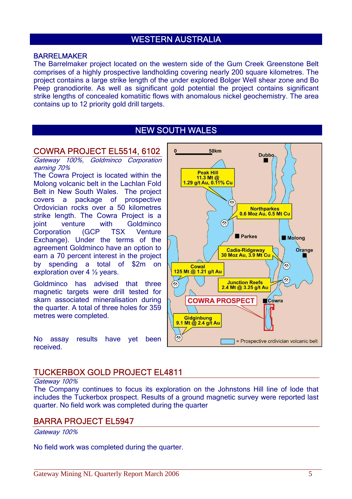## WESTERN AUSTRALIA

#### BARRELMAKER

The Barrelmaker project located on the western side of the Gum Creek Greenstone Belt comprises of a highly prospective landholding covering nearly 200 square kilometres. The project contains a large strike length of the under explored Bolger Well shear zone and Bo Peep granodiorite. As well as significant gold potential the project contains significant strike lengths of concealed komatiitic flows with anomalous nickel geochemistry. The area contains up to 12 priority gold drill targets.

### NEW SOUTH WALES

#### COWRA PROJECT EL5514, 6102

Gateway 100%, Goldminco Corporation earning 70%

The Cowra Project is located within the Molong volcanic belt in the Lachlan Fold Belt in New South Wales. The project covers a package of prospective Ordovician rocks over a 50 kilometres strike length. The Cowra Project is a joint venture with Goldminco Corporation (GCP TSX Venture Exchange). Under the terms of the agreement Goldminco have an option to earn a 70 percent interest in the project by spending a total of \$2m on exploration over 4 ½ years.

Goldminco has advised that three magnetic targets were drill tested for skarn associated mineralisation during the quarter. A total of three holes for 359 metres were completed.

No assay results have yet been received.



#### TUCKERBOX GOLD PROJECT EL4811

#### Gateway 100%

The Company continues to focus its exploration on the Johnstons Hill line of lode that includes the Tuckerbox prospect. Results of a ground magnetic survey were reported last quarter. No field work was completed during the quarter

#### BARRA PROJECT EL5947

Gateway 100%

No field work was completed during the quarter.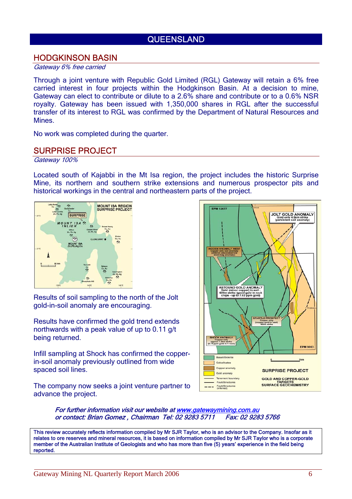## **QUEENSLAND**

### HODGKINSON BASIN

#### Gateway 6% free carried

Through a joint venture with Republic Gold Limited (RGL) Gateway will retain a 6% free carried interest in four projects within the Hodgkinson Basin. At a decision to mine, Gateway can elect to contribute or dilute to a 2.6% share and contribute or to a 0.6% NSR royalty. Gateway has been issued with 1,350,000 shares in RGL after the successful transfer of its interest to RGL was confirmed by the Department of Natural Resources and Mines.

No work was completed during the quarter.

### SURPRISE PROJECT

Gateway 100%

Located south of Kajabbi in the Mt Isa region, the project includes the historic Surprise Mine, its northern and southern strike extensions and numerous prospector pits and historical workings in the central and northeastern parts of the project.



Results of soil sampling to the north of the Jolt gold-in-soil anomaly are encouraging.

Results have confirmed the gold trend extends northwards with a peak value of up to 0.11 g/t being returned.

Infill sampling at Shock has confirmed the copperin-soil anomaly previously outlined from wide spaced soil lines.

The company now seeks a joint venture partner to advance the project.



For further information visit our website at [www.gatewaymining.com.au](http://www.gatewaymining.com.au/) or contact: Brian Gomez , Chairman Tel: 02 9283 5711 Fax: 02 9283 5766

This review accurately reflects information compiled by Mr SJR Taylor, who is an advisor to the Company. Insofar as it relates to ore reserves and mineral resources, it is based on information compiled by Mr SJR Taylor who is a corporate member of the Australian Institute of Geologists and who has more than five (5) years' experience in the field being reported.